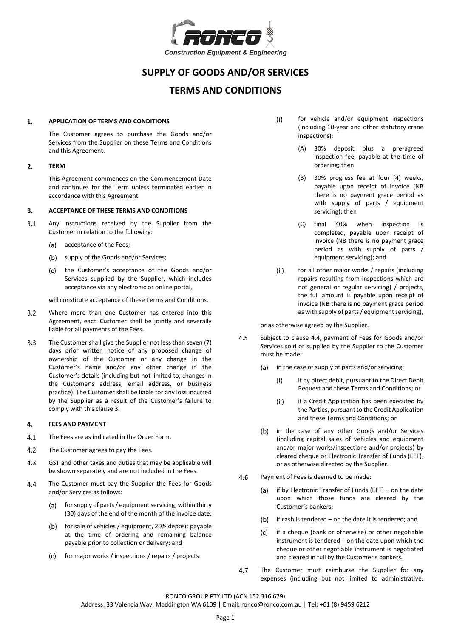

# **SUPPLY OF GOODS AND/OR SERVICES**

# **TERMS AND CONDITIONS**

 $(i)$ 

#### $\mathbf{1}$ **APPLICATION OF TERMS AND CONDITIONS**

The Customer agrees to purchase the Goods and/or Services from the Supplier on these Terms and Conditions and this Agreement.

# **TERM** 2.

This Agreement commences on the Commencement Date and continues for the Term unless terminated earlier in accordance with this Agreement.

#### <span id="page-0-0"></span>**ACCEPTANCE OF THESE TERMS AND CONDITIONS**  3.

- $3.1$ Any instructions received by the Supplier from the Customer in relation to the following:
	- $(a)$ acceptance of the Fees;
	- (b) supply of the Goods and/or Services;
	- $(c)$ the Customer's acceptance of the Goods and/or Services supplied by the Supplier, which includes acceptance via any electronic or online portal,

will constitute acceptance of these Terms and Conditions.

- $3.2$ Where more than one Customer has entered into this Agreement, each Customer shall be jointly and severally liable for all payments of the Fees.
- $3.3$ The Customer shall give the Supplier not less than seven (7) days prior written notice of any proposed change of ownership of the Customer or any change in the Customer's name and/or any other change in the Customer's details (including but not limited to, changes in the Customer's address, email address, or business practice). The Customer shall be liable for any loss incurred by the Supplier as a result of the Customer's failure to comply with this claus[e 3.](#page-0-0)

#### 4 **FEES AND PAYMENT**

- $4.1$ The Fees are as indicated in the Order Form.
- $4.2$ The Customer agrees to pay the Fees.
- $4.3$ GST and other taxes and duties that may be applicable will be shown separately and are not included in the Fees.
- <span id="page-0-1"></span> $4.4$ The Customer must pay the Supplier the Fees for Goods and/or Services as follows:
	- (a) for supply of parts / equipment servicing, within thirty (30) days of the end of the month of the invoice date;
	- (b) for sale of vehicles / equipment, 20% deposit payable at the time of ordering and remaining balance payable prior to collection or delivery; and
	- (c) for major works / inspections / repairs / projects:
- for vehicle and/or equipment inspections (including 10-year and other statutory crane inspections):
	- (A) 30% deposit plus a pre-agreed inspection fee, payable at the time of ordering; then
	- (B) 30% progress fee at four (4) weeks, payable upon receipt of invoice (NB there is no payment grace period as with supply of parts / equipment servicing); then
	- (C) final 40% when inspection is completed, payable upon receipt of invoice (NB there is no payment grace period as with supply of parts / equipment servicing); and
- $(ii)$ for all other major works / repairs (including repairs resulting from inspections which are not general or regular servicing) / projects, the full amount is payable upon receipt of invoice (NB there is no payment grace period as with supply of parts / equipment servicing),

or as otherwise agreed by the Supplier.

- 4.5 Subject to clause [4.4,](#page-0-1) payment of Fees for Goods and/or Services sold or supplied by the Supplier to the Customer must be made:
	- (a) in the case of supply of parts and/or servicing:
		- $(i)$ if by direct debit, pursuant to the Direct Debit Request and these Terms and Conditions; or
		- $(ii)$ if a Credit Application has been executed by the Parties, pursuant to the Credit Application and these Terms and Conditions; or
	- (b) in the case of any other Goods and/or Services (including capital sales of vehicles and equipment and/or major works/inspections and/or projects) by cleared cheque or Electronic Transfer of Funds (EFT), or as otherwise directed by the Supplier.
- 4.6 Payment of Fees is deemed to be made:
	- if by Electronic Transfer of Funds (EFT) on the date (a) upon which those funds are cleared by the Customer's bankers;
	- $(b)$ if cash is tendered – on the date it is tendered; and
	- if a cheque (bank or otherwise) or other negotiable  $(c)$ instrument is tendered – on the date upon which the cheque or other negotiable instrument is negotiated and cleared in full by the Customer's bankers.
- 4.7 The Customer must reimburse the Supplier for any expenses (including but not limited to administrative,

RONCO GROUP PTY LTD (ACN 152 316 679)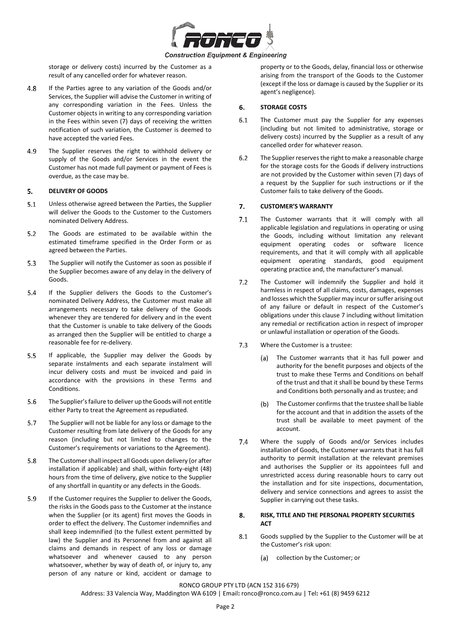

storage or delivery costs) incurred by the Customer as a result of any cancelled order for whatever reason.

- 4.8 If the Parties agree to any variation of the Goods and/or Services, the Supplier will advise the Customer in writing of any corresponding variation in the Fees. Unless the Customer objects in writing to any corresponding variation in the Fees within seven (7) days of receiving the written notification of such variation, the Customer is deemed to have accepted the varied Fees.
- 4.9 The Supplier reserves the right to withhold delivery or supply of the Goods and/or Services in the event the Customer has not made full payment or payment of Fees is overdue, as the case may be.

#### 5. **DELIVERY OF GOODS**

- $5.1$ Unless otherwise agreed between the Parties, the Supplier will deliver the Goods to the Customer to the Customers nominated Delivery Address.
- $5.2$ The Goods are estimated to be available within the estimated timeframe specified in the Order Form or as agreed between the Parties.
- $5.3$ The Supplier will notify the Customer as soon as possible if the Supplier becomes aware of any delay in the delivery of Goods.
- 5.4 If the Supplier delivers the Goods to the Customer's nominated Delivery Address, the Customer must make all arrangements necessary to take delivery of the Goods whenever they are tendered for delivery and in the event that the Customer is unable to take delivery of the Goods as arranged then the Supplier will be entitled to charge a reasonable fee for re-delivery.
- $5.5$ If applicable, the Supplier may deliver the Goods by separate instalments and each separate instalment will incur delivery costs and must be invoiced and paid in accordance with the provisions in these Terms and Conditions.
- 5.6 The Supplier's failure to deliver up the Goods will not entitle either Party to treat the Agreement as repudiated.
- $5.7$ The Supplier will not be liable for any loss or damage to the Customer resulting from late delivery of the Goods for any reason (including but not limited to changes to the Customer's requirements or variations to the Agreement).
- 5.8 The Customer shall inspect all Goods upon delivery (or after installation if applicable) and shall, within forty-eight (48) hours from the time of delivery, give notice to the Supplier of any shortfall in quantity or any defects in the Goods.
- 5.9 If the Customer requires the Supplier to deliver the Goods, the risks in the Goods pass to the Customer at the instance when the Supplier (or its agent) first moves the Goods in order to effect the delivery. The Customer indemnifies and shall keep indemnified (to the fullest extent permitted by law) the Supplier and its Personnel from and against all claims and demands in respect of any loss or damage whatsoever and whenever caused to any person whatsoever, whether by way of death of, or injury to, any person of any nature or kind, accident or damage to

property or to the Goods, delay, financial loss or otherwise arising from the transport of the Goods to the Customer (except if the loss or damage is caused by the Supplier or its agent's negligence).

# 6. **STORAGE COSTS**

- $6.1$ The Customer must pay the Supplier for any expenses (including but not limited to administrative, storage or delivery costs) incurred by the Supplier as a result of any cancelled order for whatever reason.
- $6.2$ The Supplier reserves the right to make a reasonable charge for the storage costs for the Goods if delivery instructions are not provided by the Customer within seven (7) days of a request by the Supplier for such instructions or if the Customer fails to take delivery of the Goods.

# <span id="page-1-0"></span> $7<sup>1</sup>$ **CUSTOMER'S WARRANTY**

- <span id="page-1-1"></span> $7.1$ The Customer warrants that it will comply with all applicable legislation and regulations in operating or using the Goods, including without limitation any relevant equipment operating codes or software licence requirements, and that it will comply with all applicable equipment operating standards, good equipment operating practice and, the manufacturer's manual.
- $7.2$ The Customer will indemnify the Supplier and hold it harmless in respect of all claims, costs, damages, expenses and losses which the Supplier may incur or suffer arising out of any failure or default in respect of the Customer's obligations under this clause [7](#page-1-0) including without limitation any remedial or rectification action in respect of improper or unlawful installation or operation of the Goods.
- $7.3$ Where the Customer is a trustee:
	- (a) The Customer warrants that it has full power and authority for the benefit purposes and objects of the trust to make these Terms and Conditions on behalf of the trust and that it shall be bound by these Terms and Conditions both personally and as trustee; and
	- $(b)$ The Customer confirms that the trustee shall be liable for the account and that in addition the assets of the trust shall be available to meet payment of the account.
- $7.4$ Where the supply of Goods and/or Services includes installation of Goods, the Customer warrants that it has full authority to permit installation at the relevant premises and authorises the Supplier or its appointees full and unrestricted access during reasonable hours to carry out the installation and for site inspections, documentation, delivery and service connections and agrees to assist the Supplier in carrying out these tasks.

# 8. **RISK, TITLE AND THE PERSONAL PROPERTY SECURITIES ACT**

- 8.1 Goods supplied by the Supplier to the Customer will be at the Customer's risk upon:
	- (a) collection by the Customer; or

RONCO GROUP PTY LTD (ACN 152 316 679) Address: 33 Valencia Way, Maddington WA 6109 | Email**:** ronco@ronco.com.au | Tel**:** +61 (8) 9459 6212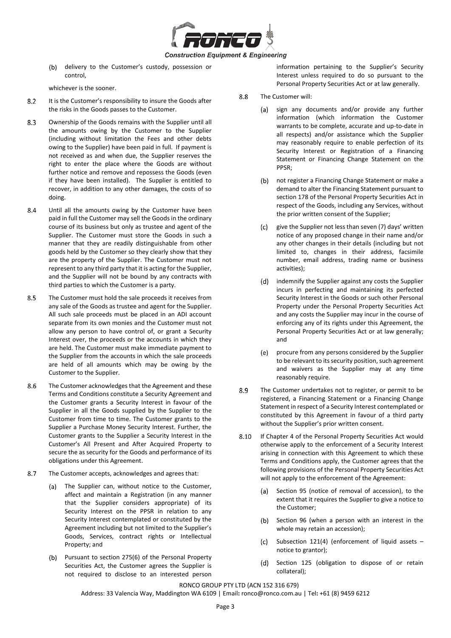

delivery to the Customer's custody, possession or  $(b)$ control,

whichever is the sooner.

- 8.2 It is the Customer's responsibility to insure the Goods after the risks in the Goods passes to the Customer.
- 8.3 Ownership of the Goods remains with the Supplier until all the amounts owing by the Customer to the Supplier (including without limitation the Fees and other debts owing to the Supplier) have been paid in full. If payment is not received as and when due, the Supplier reserves the right to enter the place where the Goods are without further notice and remove and repossess the Goods (even if they have been installed). The Supplier is entitled to recover, in addition to any other damages, the costs of so doing.
- 8.4 Until all the amounts owing by the Customer have been paid in full the Customer may sell the Goods in the ordinary course of its business but only as trustee and agent of the Supplier. The Customer must store the Goods in such a manner that they are readily distinguishable from other goods held by the Customer so they clearly show that they are the property of the Supplier. The Customer must not represent to any third party that it is acting for the Supplier, and the Supplier will not be bound by any contracts with third parties to which the Customer is a party.
- 8.5 The Customer must hold the sale proceeds it receives from any sale of the Goods as trustee and agent for the Supplier. All such sale proceeds must be placed in an ADI account separate from its own monies and the Customer must not allow any person to have control of, or grant a Security Interest over, the proceeds or the accounts in which they are held. The Customer must make immediate payment to the Supplier from the accounts in which the sale proceeds are held of all amounts which may be owing by the Customer to the Supplier.
- 8.6 The Customer acknowledges that the Agreement and these Terms and Conditions constitute a Security Agreement and the Customer grants a Security Interest in favour of the Supplier in all the Goods supplied by the Supplier to the Customer from time to time. The Customer grants to the Supplier a Purchase Money Security Interest. Further, the Customer grants to the Supplier a Security Interest in the Customer's All Present and After Acquired Property to secure the as security for the Goods and performance of its obligations under this Agreement.
- 8.7 The Customer accepts, acknowledges and agrees that:
	- (a) The Supplier can, without notice to the Customer, affect and maintain a Registration (in any manner that the Supplier considers appropriate) of its Security Interest on the PPSR in relation to any Security Interest contemplated or constituted by the Agreement including but not limited to the Supplier's Goods, Services, contract rights or Intellectual Property; and
	- $(b)$ Pursuant to section 275(6) of the Personal Property Securities Act, the Customer agrees the Supplier is not required to disclose to an interested person

information pertaining to the Supplier's Security Interest unless required to do so pursuant to the Personal Property Securities Act or at law generally.

- 8.8 The Customer will:
	- sign any documents and/or provide any further (a) information (which information the Customer warrants to be complete, accurate and up-to-date in all respects) and/or assistance which the Supplier may reasonably require to enable perfection of its Security Interest or Registration of a Financing Statement or Financing Change Statement on the PPSR;
	- (b) not register a Financing Change Statement or make a demand to alter the Financing Statement pursuant to section 178 of the Personal Property Securities Act in respect of the Goods, including any Services, without the prior written consent of the Supplier;
	- give the Supplier not less than seven (7) days' written  $(c)$ notice of any proposed change in their name and/or any other changes in their details (including but not limited to, changes in their address, facsimile number, email address, trading name or business activities);
	- (d) indemnify the Supplier against any costs the Supplier incurs in perfecting and maintaining its perfected Security Interest in the Goods or such other Personal Property under the Personal Property Securities Act and any costs the Supplier may incur in the course of enforcing any of its rights under this Agreement, the Personal Property Securities Act or at law generally; and
	- $(e)$ procure from any persons considered by the Supplier to be relevant to its security position, such agreement and waivers as the Supplier may at any time reasonably require.
- 8.9 The Customer undertakes not to register, or permit to be registered, a Financing Statement or a Financing Change Statement in respect of a Security Interest contemplated or constituted by this Agreement in favour of a third party without the Supplier's prior written consent.
- 8.10 If Chapter 4 of the Personal Property Securities Act would otherwise apply to the enforcement of a Security Interest arising in connection with this Agreement to which these Terms and Conditions apply, the Customer agrees that the following provisions of the Personal Property Securities Act will not apply to the enforcement of the Agreement:
	- Section 95 (notice of removal of accession), to the  $(a)$ extent that it requires the Supplier to give a notice to the Customer;
	- Section 96 (when a person with an interest in the  $(b)$ whole may retain an accession);
	- Subsection 121(4) (enforcement of liquid assets  $(c)$ notice to grantor);
	- $(d)$ Section 125 (obligation to dispose of or retain collateral);

# RONCO GROUP PTY LTD (ACN 152 316 679)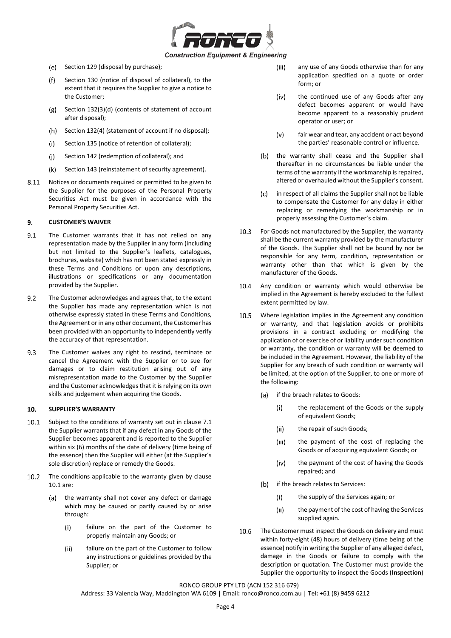

- (e) Section 129 (disposal by purchase);
- Section 130 (notice of disposal of collateral), to the  $(f)$ extent that it requires the Supplier to give a notice to the Customer;
- (g) Section 132(3)(d) (contents of statement of account after disposal);
- $(h)$  Section 132(4) (statement of account if no disposal);
- $(i)$ Section 135 (notice of retention of collateral);
- $(i)$ Section 142 (redemption of collateral); and
- (k) Section 143 (reinstatement of security agreement).
- 8.11 Notices or documents required or permitted to be given to the Supplier for the purposes of the Personal Property Securities Act must be given in accordance with the Personal Property Securities Act.

# 9. **CUSTOMER'S WAIVER**

- $9.1$ The Customer warrants that it has not relied on any representation made by the Supplier in any form (including but not limited to the Supplier's leaflets, catalogues, brochures, website) which has not been stated expressly in these Terms and Conditions or upon any descriptions, illustrations or specifications or any documentation provided by the Supplier.
- $9.2$ The Customer acknowledges and agrees that, to the extent the Supplier has made any representation which is not otherwise expressly stated in these Terms and Conditions, the Agreement or in any other document, the Customer has been provided with an opportunity to independently verify the accuracy of that representation.
- 9.3 The Customer waives any right to rescind, terminate or cancel the Agreement with the Supplier or to sue for damages or to claim restitution arising out of any misrepresentation made to the Customer by the Supplier and the Customer acknowledges that it is relying on its own skills and judgement when acquiring the Goods.

#### <span id="page-3-1"></span> $10.$ **SUPPLIER'S WARRANTY**

- <span id="page-3-0"></span> $10.1$ Subject to the conditions of warranty set out in clause [7.1](#page-1-1) the Supplier warrants that if any defect in any Goods of the Supplier becomes apparent and is reported to the Supplier within six (6) months of the date of delivery (time being of the essence) then the Supplier will either (at the Supplier's sole discretion) replace or remedy the Goods.
- $10.2$ The conditions applicable to the warranty given by clause [10.1](#page-3-0) are:
	- the warranty shall not cover any defect or damage  $(a)$ which may be caused or partly caused by or arise through:
		- failure on the part of the Customer to  $(i)$ properly maintain any Goods; or
		- $(ii)$ failure on the part of the Customer to follow any instructions or guidelines provided by the Supplier; or
- any use of any Goods otherwise than for any  $(iii)$ application specified on a quote or order form; or
- $(iv)$ the continued use of any Goods after any defect becomes apparent or would have become apparent to a reasonably prudent operator or user; or
- $(v)$ fair wear and tear, any accident or act beyond the parties' reasonable control or influence.
- (b) the warranty shall cease and the Supplier shall thereafter in no circumstances be liable under the terms of the warranty if the workmanship is repaired, altered or overhauled without the Supplier's consent.
- $(c)$ in respect of all claims the Supplier shall not be liable to compensate the Customer for any delay in either replacing or remedying the workmanship or in properly assessing the Customer's claim.
- $10.3$ For Goods not manufactured by the Supplier, the warranty shall be the current warranty provided by the manufacturer of the Goods. The Supplier shall not be bound by nor be responsible for any term, condition, representation or warranty other than that which is given by the manufacturer of the Goods.
- 10.4 Any condition or warranty which would otherwise be implied in the Agreement is hereby excluded to the fullest extent permitted by law.
- $10.5$ Where legislation implies in the Agreement any condition or warranty, and that legislation avoids or prohibits provisions in a contract excluding or modifying the application of or exercise of or liability under such condition or warranty, the condition or warranty will be deemed to be included in the Agreement. However, the liability of the Supplier for any breach of such condition or warranty will be limited, at the option of the Supplier, to one or more of the following:
	- (a) if the breach relates to Goods:
		- the replacement of the Goods or the supply  $(i)$ of equivalent Goods;
		- $(ii)$ the repair of such Goods;
		- $(iii)$ the payment of the cost of replacing the Goods or of acquiring equivalent Goods; or
		- $(iv)$ the payment of the cost of having the Goods repaired; and
	- (b) if the breach relates to Services:
		- $(i)$ the supply of the Services again; or
		- $(ii)$ the payment of the cost of having the Services supplied again.
- 10.6 The Customer must inspect the Goods on delivery and must within forty-eight (48) hours of delivery (time being of the essence) notify in writing the Supplier of any alleged defect, damage in the Goods or failure to comply with the description or quotation. The Customer must provide the Supplier the opportunity to inspect the Goods (**Inspection**)

RONCO GROUP PTY LTD (ACN 152 316 679)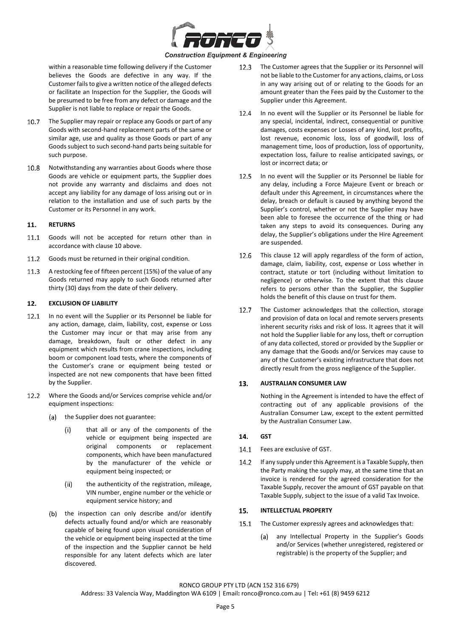

within a reasonable time following delivery if the Customer believes the Goods are defective in any way. If the Customer fails to give a written notice of the alleged defects or facilitate an Inspection for the Supplier, the Goods will be presumed to be free from any defect or damage and the Supplier is not liable to replace or repair the Goods.

- $10.7$ The Supplier may repair or replace any Goods or part of any Goods with second-hand replacement parts of the same or similar age, use and quality as those Goods or part of any Goods subject to such second-hand parts being suitable for such purpose.
- $10.8$ Notwithstanding any warranties about Goods where those Goods are vehicle or equipment parts, the Supplier does not provide any warranty and disclaims and does not accept any liability for any damage of loss arising out or in relation to the installation and use of such parts by the Customer or its Personnel in any work.

#### 11. **RETURNS**

- $11.1$ Goods will not be accepted for return other than in accordance with claus[e 10](#page-3-1) above.
- 11.2 Goods must be returned in their original condition.
- $11.3$ A restocking fee of fifteen percent (15%) of the value of any Goods returned may apply to such Goods returned after thirty (30) days from the date of their delivery.

# <span id="page-4-0"></span>12. **EXCLUSION OF LIABILITY**

- In no event will the Supplier or its Personnel be liable for  $12.1$ any action, damage, claim, liability, cost, expense or Loss the Customer may incur or that may arise from any damage, breakdown, fault or other defect in any equipment which results from crane inspections, including boom or component load tests, where the components of the Customer's crane or equipment being tested or inspected are not new components that have been fitted by the Supplier.
- 12.2 Where the Goods and/or Services comprise vehicle and/or equipment inspections:
	- $(a)$ the Supplier does not guarantee:
		- $(i)$ that all or any of the components of the vehicle or equipment being inspected are original components or replacement components, which have been manufactured by the manufacturer of the vehicle or equipment being inspected; or
		- $(ii)$ the authenticity of the registration, mileage, VIN number, engine number or the vehicle or equipment service history; and
	- (b) the inspection can only describe and/or identify defects actually found and/or which are reasonably capable of being found upon visual consideration of the vehicle or equipment being inspected at the time of the inspection and the Supplier cannot be held responsible for any latent defects which are later discovered.
- 12.3 The Customer agrees that the Supplier or its Personnel will not be liable to the Customer for any actions, claims, or Loss in any way arising out of or relating to the Goods for an amount greater than the Fees paid by the Customer to the Supplier under this Agreement.
- 12.4 In no event will the Supplier or its Personnel be liable for any special, incidental, indirect, consequential or punitive damages, costs expenses or Losses of any kind, lost profits, lost revenue, economic loss, loss of goodwill, loss of management time, loos of production, loss of opportunity, expectation loss, failure to realise anticipated savings, or lost or incorrect data; or
- 12.5 In no event will the Supplier or its Personnel be liable for any delay, including a Force Majeure Event or breach or default under this Agreement, in circumstances where the delay, breach or default is caused by anything beyond the Supplier's control, whether or not the Supplier may have been able to foresee the occurrence of the thing or had taken any steps to avoid its consequences. During any delay, the Supplier's obligations under the Hire Agreement are suspended.
- 12.6 This clause [12](#page-4-0) will apply regardless of the form of action, damage, claim, liability, cost, expense or Loss whether in contract, statute or tort (including without limitation to negligence) or otherwise. To the extent that this clause refers to persons other than the Supplier, the Supplier holds the benefit of this clause on trust for them.
- 12.7 The Customer acknowledges that the collection, storage and provision of data on local and remote servers presents inherent security risks and risk of loss. It agrees that it will not hold the Supplier liable for any loss, theft or corruption of any data collected, stored or provided by the Supplier or any damage that the Goods and/or Services may cause to any of the Customer's existing infrastructure that does not directly result from the gross negligence of the Supplier.

# <span id="page-4-1"></span>13. **AUSTRALIAN CONSUMER LAW**

Nothing in the Agreement is intended to have the effect of contracting out of any applicable provisions of the Australian Consumer Law, except to the extent permitted by the Australian Consumer Law.

# 14. **GST**

- 14.1 Fees are exclusive of GST.
- $142$ If any supply under this Agreement is a Taxable Supply, then the Party making the supply may, at the same time that an invoice is rendered for the agreed consideration for the Taxable Supply, recover the amount of GST payable on that Taxable Supply, subject to the issue of a valid Tax Invoice.

#### 15. **INTELLECTUAL PROPERTY**

- $15.1$ The Customer expressly agrees and acknowledges that:
	- any Intellectual Property in the Supplier's Goods (a) and/or Services (whether unregistered, registered or registrable) is the property of the Supplier; and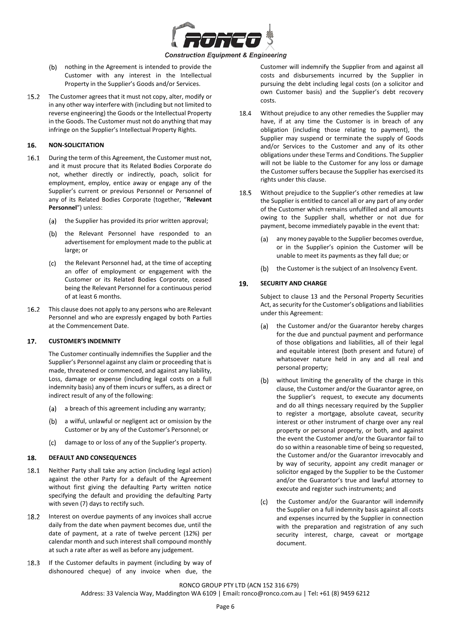

- (b) nothing in the Agreement is intended to provide the Customer with any interest in the Intellectual Property in the Supplier's Goods and/or Services.
- $15.2$ The Customer agrees that it must not copy, alter, modify or in any other way interfere with (including but not limited to reverse engineering) the Goods or the Intellectual Property in the Goods. The Customer must not do anything that may infringe on the Supplier's Intellectual Property Rights.

# 16. **NON-SOLICITATION**

- $16.1$ During the term of this Agreement, the Customer must not, and it must procure that its Related Bodies Corporate do not, whether directly or indirectly, poach, solicit for employment, employ, entice away or engage any of the Supplier's current or previous Personnel or Personnel of any of its Related Bodies Corporate (together, "**Relevant Personnel**") unless:
	- the Supplier has provided its prior written approval;  $(a)$
	- the Relevant Personnel have responded to an  $(b)$ advertisement for employment made to the public at large; or
	- (c) the Relevant Personnel had, at the time of accepting an offer of employment or engagement with the Customer or its Related Bodies Corporate, ceased being the Relevant Personnel for a continuous period of at least 6 months.
- $16.2$ This clause does not apply to any persons who are Relevant Personnel and who are expressly engaged by both Parties at the Commencement Date.

#### **CUSTOMER'S INDEMNITY**  $17<sub>1</sub>$

The Customer continually indemnifies the Supplier and the Supplier's Personnel against any claim or proceeding that is made, threatened or commenced, and against any liability, Loss, damage or expense (including legal costs on a full indemnity basis) any of them incurs or suffers, as a direct or indirect result of any of the following:

- (a) a breach of this agreement including any warranty;
- $(b)$ a wilful, unlawful or negligent act or omission by the Customer or by any of the Customer's Personnel; or
- damage to or loss of any of the Supplier's property.  $(c)$

#### 18. **DEFAULT AND CONSEQUENCES**

- 18.1 Neither Party shall take any action (including legal action) against the other Party for a default of the Agreement without first giving the defaulting Party written notice specifying the default and providing the defaulting Party with seven (7) days to rectify such.
- 18.2 Interest on overdue payments of any invoices shall accrue daily from the date when payment becomes due, until the date of payment, at a rate of twelve percent (12%) per calendar month and such interest shall compound monthly at such a rate after as well as before any judgement.
- 18.3 If the Customer defaults in payment (including by way of dishonoured cheque) of any invoice when due, the

Customer will indemnify the Supplier from and against all costs and disbursements incurred by the Supplier in pursuing the debt including legal costs (on a solicitor and own Customer basis) and the Supplier's debt recovery costs.

- 18.4 Without prejudice to any other remedies the Supplier may have, if at any time the Customer is in breach of any obligation (including those relating to payment), the Supplier may suspend or terminate the supply of Goods and/or Services to the Customer and any of its other obligations under these Terms and Conditions. The Supplier will not be liable to the Customer for any loss or damage the Customer suffers because the Supplier has exercised its rights under this clause.
- 18.5 Without prejudice to the Supplier's other remedies at law the Supplier is entitled to cancel all or any part of any order of the Customer which remains unfulfilled and all amounts owing to the Supplier shall, whether or not due for payment, become immediately payable in the event that:
	- (a) any money payable to the Supplier becomes overdue, or in the Supplier's opinion the Customer will be unable to meet its payments as they fall due; or
	- the Customer is the subject of an Insolvency Event.  $(b)$

#### 19. **SECURITY AND CHARGE**

Subject to clause [13](#page-4-1) and the Personal Property Securities Act, as security for the Customer's obligations and liabilities under this Agreement:

- (a) the Customer and/or the Guarantor hereby charges for the due and punctual payment and performance of those obligations and liabilities, all of their legal and equitable interest (both present and future) of whatsoever nature held in any and all real and personal property;
- without limiting the generality of the charge in this  $(b)$ clause, the Customer and/or the Guarantor agree, on the Supplier's request, to execute any documents and do all things necessary required by the Supplier to register a mortgage, absolute caveat, security interest or other instrument of charge over any real property or personal property, or both, and against the event the Customer and/or the Guarantor fail to do so within a reasonable time of being so requested, the Customer and/or the Guarantor irrevocably and by way of security, appoint any credit manager or solicitor engaged by the Supplier to be the Customer and/or the Guarantor's true and lawful attorney to execute and register such instruments; and
- the Customer and/or the Guarantor will indemnify  $(c)$ the Supplier on a full indemnity basis against all costs and expenses incurred by the Supplier in connection with the preparation and registration of any such security interest, charge, caveat or mortgage document.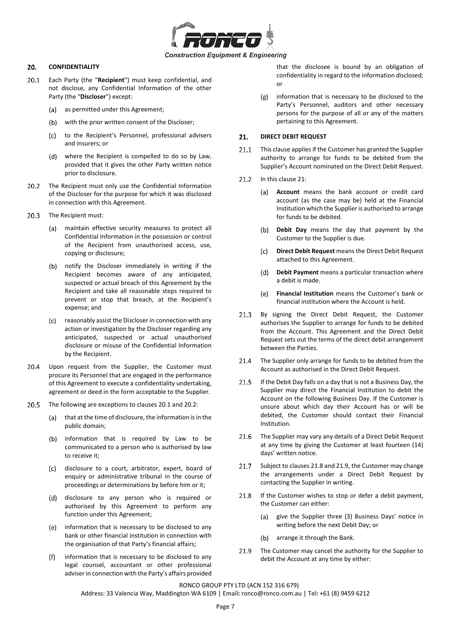

#### 20. **CONFIDENTIALITY**

- <span id="page-6-0"></span> $20.1$ Each Party (the "**Recipient**") must keep confidential, and not disclose, any Confidential Information of the other Party (the "**Discloser**") except:
	- $(a)$ as permitted under this Agreement;
	- (b) with the prior written consent of the Discloser;
	- $(c)$ to the Recipient's Personnel, professional advisers and insurers; or
	- where the Recipient is compelled to do so by Law, provided that it gives the other Party written notice prior to disclosure.
- <span id="page-6-1"></span> $20.2$ The Recipient must only use the Confidential Information of the Discloser for the purpose for which it was disclosed in connection with this Agreement.
- 20.3 The Recipient must:
	- maintain effective security measures to protect all (a) Confidential Information in the possession or control of the Recipient from unauthorised access, use, copying or disclosure;
	- (b) notify the Discloser immediately in writing if the Recipient becomes aware of any anticipated, suspected or actual breach of this Agreement by the Recipient and take all reasonable steps required to prevent or stop that breach, at the Recipient's expense; and
	- reasonably assist the Discloser in connection with any  $(c)$ action or investigation by the Discloser regarding any anticipated, suspected or actual unauthorised disclosure or misuse of the Confidential Information by the Recipient.
- $20.4$ Upon request from the Supplier, the Customer must procure its Personnel that are engaged in the performance of this Agreement to execute a confidentiality undertaking, agreement or deed in the form acceptable to the Supplier.
- 20.5 The following are exceptions to clause[s 20.1](#page-6-0) an[d 20.2:](#page-6-1)
	- $(a)$ that at the time of disclosure, the information is in the public domain;
	- information that is required by Law to be  $(b)$ communicated to a person who is authorised by law to receive it;
	- $(c)$ disclosure to a court, arbitrator, expert, board of enquiry or administrative tribunal in the course of proceedings or determinations by before him or it;
	- disclosure to any person who is required or (d) authorised by this Agreement to perform any function under this Agreement;
	- (e) information that is necessary to be disclosed to any bank or other financial institution in connection with the organisation of that Party's financial affairs;
	- information that is necessary to be disclosed to any  $(f)$ legal counsel, accountant or other professional adviser in connection with the Party's affairs provided

that the disclosee is bound by an obligation of confidentiality in regard to the information disclosed; or

information that is necessary to be disclosed to the  $(g)$ Party's Personnel, auditors and other necessary persons for the purpose of all or any of the matters pertaining to this Agreement.

# <span id="page-6-2"></span> $21.$ **DIRECT DEBIT REQUEST**

- $211$ This clause applies if the Customer has granted the Supplier authority to arrange for funds to be debited from the Supplier's Account nominated on the Direct Debit Request.
- 21.2 In this claus[e 21:](#page-6-2)
	- **Account** means the bank account or credit card (a) account (as the case may be) held at the Financial Institution which the Supplier is authorised to arrange for funds to be debited.
	- **Debit Day** means the day that payment by the  $(b)$ Customer to the Supplier is due.
	- $(c)$ **Direct Debit Request** means the Direct Debit Request attached to this Agreement.
	- $(d)$ **Debit Payment** means a particular transaction where a debit is made.
	- $(e)$ **Financial Institution** means the Customer's bank or financial institution where the Account is held.
- $21.3$ By signing the Direct Debit Request, the Customer authorises the Supplier to arrange for funds to be debited from the Account. This Agreement and the Direct Debit Request sets out the terms of the direct debit arrangement between the Parties.
- 21.4 The Supplier only arrange for funds to be debited from the Account as authorised in the Direct Debit Request.
- If the Debit Day falls on a day that is not a Business Day, the  $21.5$ Supplier may direct the Financial Institution to debit the Account on the following Business Day. If the Customer is unsure about which day their Account has or will be debited, the Customer should contact their Financial Institution.
- The Supplier may vary any details of a Direct Debit Request  $21.6$ at any time by giving the Customer at least fourteen (14) days' written notice.
- $21.7$ Subject to clause[s 21.8](#page-6-3) an[d 21.9,](#page-6-4) the Customer may change the arrangements under a Direct Debit Request by contacting the Supplier in writing.
- <span id="page-6-3"></span>If the Customer wishes to stop or defer a debit payment, 21.8 the Customer can either:
	- give the Supplier three (3) Business Days' notice in  $(a)$ writing before the next Debit Day; or
	- $(b)$ arrange it through the Bank.
- <span id="page-6-4"></span>21.9 The Customer may cancel the authority for the Supplier to debit the Account at any time by either:

# RONCO GROUP PTY LTD (ACN 152 316 679)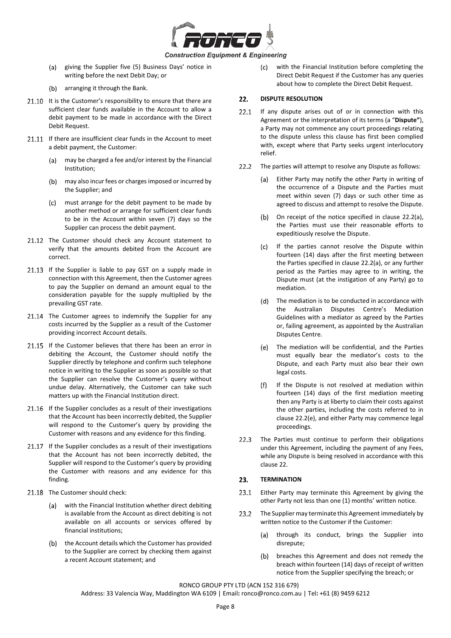

- (a) giving the Supplier five (5) Business Days' notice in writing before the next Debit Day; or
- (b) arranging it through the Bank.
- 21.10 It is the Customer's responsibility to ensure that there are sufficient clear funds available in the Account to allow a debit payment to be made in accordance with the Direct Debit Request.
- 21.11 If there are insufficient clear funds in the Account to meet a debit payment, the Customer:
	- $(a)$ may be charged a fee and/or interest by the Financial Institution;
	- $(b)$ may also incur fees or charges imposed or incurred by the Supplier; and
	- must arrange for the debit payment to be made by  $(c)$ another method or arrange for sufficient clear funds to be in the Account within seven (7) days so the Supplier can process the debit payment.
- 21.12 The Customer should check any Account statement to verify that the amounts debited from the Account are correct.
- 21.13 If the Supplier is liable to pay GST on a supply made in connection with this Agreement, then the Customer agrees to pay the Supplier on demand an amount equal to the consideration payable for the supply multiplied by the prevailing GST rate.
- 21.14 The Customer agrees to indemnify the Supplier for any costs incurred by the Supplier as a result of the Customer providing incorrect Account details.
- 21.15 If the Customer believes that there has been an error in debiting the Account, the Customer should notify the Supplier directly by telephone and confirm such telephone notice in writing to the Supplier as soon as possible so that the Supplier can resolve the Customer's query without undue delay. Alternatively, the Customer can take such matters up with the Financial Institution direct.
- 21.16 If the Supplier concludes as a result of their investigations that the Account has been incorrectly debited, the Supplier will respond to the Customer's query by providing the Customer with reasons and any evidence for this finding.
- 21.17 If the Supplier concludes as a result of their investigations that the Account has not been incorrectly debited, the Supplier will respond to the Customer's query by providing the Customer with reasons and any evidence for this finding.
- 21.18 The Customer should check:
	- with the Financial Institution whether direct debiting is available from the Account as direct debiting is not available on all accounts or services offered by financial institutions;
	- (b) the Account details which the Customer has provided to the Supplier are correct by checking them against a recent Account statement; and

 $(c)$ with the Financial Institution before completing the Direct Debit Request if the Customer has any queries about how to complete the Direct Debit Request.

# <span id="page-7-3"></span> $22.$ **DISPUTE RESOLUTION**

- 22.1 If any dispute arises out of or in connection with this Agreement or the interpretation of its terms (a "**Dispute"**), a Party may not commence any court proceedings relating to the dispute unless this clause has first been complied with, except where that Party seeks urgent interlocutory relief.
- <span id="page-7-1"></span><span id="page-7-0"></span> $22.2$ The parties will attempt to resolve any Dispute as follows:
	- Either Party may notify the other Party in writing of  $(a)$ the occurrence of a Dispute and the Parties must meet within seven (7) days or such other time as agreed to discuss and attempt to resolve the Dispute.
	- $(b)$ On receipt of the notice specified in clause [22.2\(a\),](#page-7-0) the Parties must use their reasonable efforts to expeditiously resolve the Dispute.
	- If the parties cannot resolve the Dispute within  $(c)$ fourteen (14) days after the first meeting between the Parties specified in clause [22.2\(a\),](#page-7-0) or any further period as the Parties may agree to in writing, the Dispute must (at the instigation of any Party) go to mediation.
	- (d) The mediation is to be conducted in accordance with the Australian Disputes Centre's Mediation Guidelines with a mediator as agreed by the Parties or, failing agreement, as appointed by the Australian Disputes Centre.
	- The mediation will be confidential, and the Parties (e) must equally bear the mediator's costs to the Dispute, and each Party must also bear their own legal costs.
	- $(f)$ If the Dispute is not resolved at mediation within fourteen (14) days of the first mediation meeting then any Party is at liberty to claim their costs against the other parties, including the costs referred to in claus[e 22.2\(](#page-7-1)[e\),](#page-7-2) and either Party may commence legal proceedings.
- <span id="page-7-2"></span>22.3 The Parties must continue to perform their obligations under this Agreement, including the payment of any Fees, while any Dispute is being resolved in accordance with this clause [22.](#page-7-3)

# <span id="page-7-4"></span> $23.$ **TERMINATION**

- 23.1 Either Party may terminate this Agreement by giving the other Party not less than one (1) months' written notice.
- $23.2$ The Supplier may terminate this Agreement immediately by written notice to the Customer if the Customer:
	- through its conduct, brings the Supplier into  $(a)$ disrepute;
	- breaches this Agreement and does not remedy the (b) breach within fourteen (14) days of receipt of written notice from the Supplier specifying the breach; or

RONCO GROUP PTY LTD (ACN 152 316 679)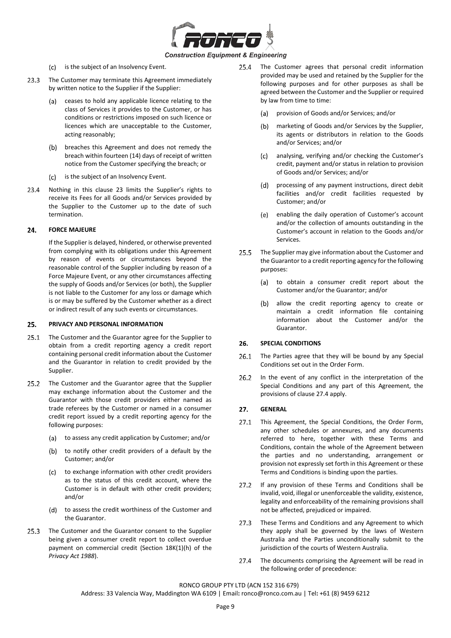

- (c) is the subject of an Insolvency Event.
- $23.3$ The Customer may terminate this Agreement immediately by written notice to the Supplier if the Supplier:
	- ceases to hold any applicable licence relating to the (a) class of Services it provides to the Customer, or has conditions or restrictions imposed on such licence or licences which are unacceptable to the Customer, acting reasonably;
	- (b) breaches this Agreement and does not remedy the breach within fourteen (14) days of receipt of written notice from the Customer specifying the breach; or
	- (c) is the subject of an Insolvency Event.
- $23.4$ Nothing in this clause [23](#page-7-4) limits the Supplier's rights to receive its Fees for all Goods and/or Services provided by the Supplier to the Customer up to the date of such termination.

#### **FORCE MAJEURE**  24.

If the Supplier is delayed, hindered, or otherwise prevented from complying with its obligations under this Agreement by reason of events or circumstances beyond the reasonable control of the Supplier including by reason of a Force Majeure Event, or any other circumstances affecting the supply of Goods and/or Services (or both), the Supplier is not liable to the Customer for any loss or damage which is or may be suffered by the Customer whether as a direct or indirect result of any such events or circumstances.

#### 25. **PRIVACY AND PERSONAL INFORMATION**

- $25.1$ The Customer and the Guarantor agree for the Supplier to obtain from a credit reporting agency a credit report containing personal credit information about the Customer and the Guarantor in relation to credit provided by the Supplier.
- $25.2$ The Customer and the Guarantor agree that the Supplier may exchange information about the Customer and the Guarantor with those credit providers either named as trade referees by the Customer or named in a consumer credit report issued by a credit reporting agency for the following purposes:
	- (a) to assess any credit application by Customer; and/or
	- to notify other credit providers of a default by the  $(b)$ Customer; and/or
	- $(c)$ to exchange information with other credit providers as to the status of this credit account, where the Customer is in default with other credit providers; and/or
	- (d) to assess the credit worthiness of the Customer and the Guarantor.
- $25.3$ The Customer and the Guarantor consent to the Supplier being given a consumer credit report to collect overdue payment on commercial credit (Section 18K(1)(h) of the *Privacy Act 1988*).
- $25.4$ The Customer agrees that personal credit information provided may be used and retained by the Supplier for the following purposes and for other purposes as shall be agreed between the Customer and the Supplier or required by law from time to time:
	- provision of Goods and/or Services; and/or
	- (b) marketing of Goods and/or Services by the Supplier, its agents or distributors in relation to the Goods and/or Services; and/or
	- $(c)$ analysing, verifying and/or checking the Customer's credit, payment and/or status in relation to provision of Goods and/or Services; and/or
	- $(d)$ processing of any payment instructions, direct debit facilities and/or credit facilities requested by Customer; and/or
	- enabling the daily operation of Customer's account (e) and/or the collection of amounts outstanding in the Customer's account in relation to the Goods and/or Services.
- 25.5 The Supplier may give information about the Customer and the Guarantor to a credit reporting agency for the following purposes:
	- (a) to obtain a consumer credit report about the Customer and/or the Guarantor; and/or
	- $(b)$ allow the credit reporting agency to create or maintain a credit information file containing information about the Customer and/or the Guarantor.

#### <span id="page-8-2"></span>26. **SPECIAL CONDITIONS**

- 26.1 The Parties agree that they will be bound by any Special Conditions set out in the Order Form.
- $26.2$ In the event of any conflict in the interpretation of the Special Conditions and any part of this Agreement, the provisions of clause [27.4](#page-8-0) apply.

#### $27.$ **GENERAL**

- <span id="page-8-1"></span>27.1 This Agreement, the Special Conditions, the Order Form, any other schedules or annexures, and any documents referred to here, together with these Terms and Conditions, contain the whole of the Agreement between the parties and no understanding, arrangement or provision not expressly set forth in this Agreement or these Terms and Conditions is binding upon the parties.
- If any provision of these Terms and Conditions shall be  $27.2$ invalid, void, illegal or unenforceable the validity, existence, legality and enforceability of the remaining provisions shall not be affected, prejudiced or impaired.
- $27.3$ These Terms and Conditions and any Agreement to which they apply shall be governed by the laws of Western Australia and the Parties unconditionally submit to the jurisdiction of the courts of Western Australia.
- <span id="page-8-0"></span> $27.4$ The documents comprising the Agreement will be read in the following order of precedence:

RONCO GROUP PTY LTD (ACN 152 316 679)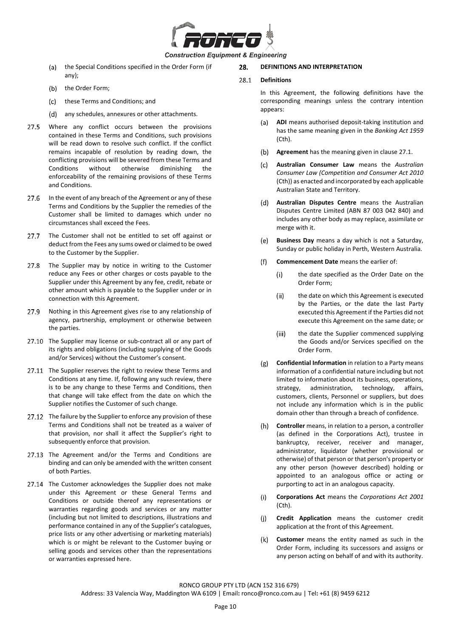

# **Construction Equipment & Engineering**

- the Special Conditions specified in the Order Form (if (a) any);
- $(b)$ the Order Form;
- these Terms and Conditions; and  $(c)$
- (d) any schedules, annexures or other attachments.
- $27.5$ Where any conflict occurs between the provisions contained in these Terms and Conditions, such provisions will be read down to resolve such conflict. If the conflict remains incapable of resolution by reading down, the conflicting provisions will be severed from these Terms and Conditions without otherwise diminishing the enforceability of the remaining provisions of these Terms and Conditions.
- $27.6$ In the event of any breach of the Agreement or any of these Terms and Conditions by the Supplier the remedies of the Customer shall be limited to damages which under no circumstances shall exceed the Fees.
- The Customer shall not be entitled to set off against or 27.7 deduct from the Fees any sums owed or claimed to be owed to the Customer by the Supplier.
- $27.8$ The Supplier may by notice in writing to the Customer reduce any Fees or other charges or costs payable to the Supplier under this Agreement by any fee, credit, rebate or other amount which is payable to the Supplier under or in connection with this Agreement.
- Nothing in this Agreement gives rise to any relationship of 27.9 agency, partnership, employment or otherwise between the parties.
- 27.10 The Supplier may license or sub-contract all or any part of its rights and obligations (including supplying of the Goods and/or Services) without the Customer's consent.
- 27.11 The Supplier reserves the right to review these Terms and Conditions at any time. If, following any such review, there is to be any change to these Terms and Conditions, then that change will take effect from the date on which the Supplier notifies the Customer of such change.
- 27.12 The failure by the Supplier to enforce any provision of these Terms and Conditions shall not be treated as a waiver of that provision, nor shall it affect the Supplier's right to subsequently enforce that provision.
- 27.13 The Agreement and/or the Terms and Conditions are binding and can only be amended with the written consent of both Parties.
- 27.14 The Customer acknowledges the Supplier does not make under this Agreement or these General Terms and Conditions or outside thereof any representations or warranties regarding goods and services or any matter (including but not limited to descriptions, illustrations and performance contained in any of the Supplier's catalogues, price lists or any other advertising or marketing materials) which is or might be relevant to the Customer buying or selling goods and services other than the representations or warranties expressed here.

# 28. **DEFINITIONS AND INTERPRETATION**

#### 28.1 **Definitions**

In this Agreement, the following definitions have the corresponding meanings unless the contrary intention appears:

- **ADI** means authorised deposit-taking institution and has the same meaning given in the *Banking Act 1959* (Cth).
- **Agreement** has the meaning given in clause [27.1.](#page-8-1)
- $(c)$ **Australian Consumer Law** means the *Australian Consumer Law (Competition and Consumer Act 2010*  (Cth)) as enacted and incorporated by each applicable Australian State and Territory.
- $(d)$ **Australian Disputes Centre** means the Australian Disputes Centre Limited (ABN 87 003 042 840) and includes any other body as may replace, assimilate or merge with it.
- **Business Day** means a day which is not a Saturday,  $(e)$ Sunday or public holiday in Perth, Western Australia.
- $(f)$ **Commencement Date** means the earlier of:
	- $(i)$ the date specified as the Order Date on the Order Form;
	- the date on which this Agreement is executed  $(ii)$ by the Parties, or the date the last Party executed this Agreement if the Parties did not execute this Agreement on the same date; or
	- the date the Supplier commenced supplying  $(iii)$ the Goods and/or Services specified on the Order Form.
- **Confidential Information** in relation to a Party means  $(g)$ information of a confidential nature including but not limited to information about its business, operations, strategy, administration, technology, affairs, customers, clients, Personnel or suppliers, but does not include any information which is in the public domain other than through a breach of confidence.
- **Controller** means, in relation to a person, a controller (as defined in the Corporations Act), trustee in bankruptcy, receiver, receiver and manager, administrator, liquidator (whether provisional or otherwise) of that person or that person's property or any other person (however described) holding or appointed to an analogous office or acting or purporting to act in an analogous capacity.
- $(i)$ **Corporations Act** means the *Corporations Act 2001* (Cth).
- **Credit Application** means the customer credit  $(i)$ application at the front of this Agreement.
- **Customer** means the entity named as such in the  $(k)$ Order Form, including its successors and assigns or any person acting on behalf of and with its authority.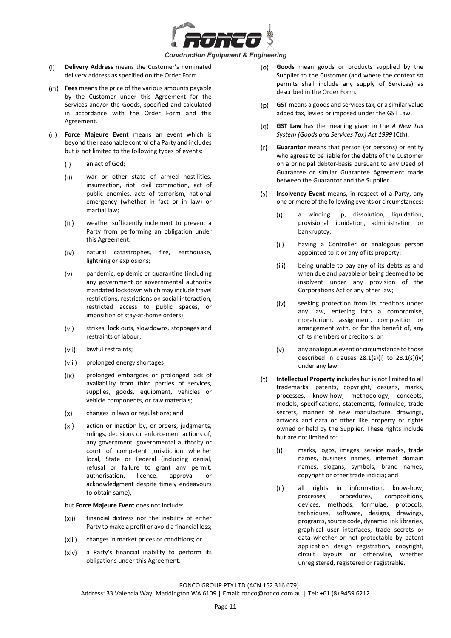

- **Delivery Address** means the Customer's nominated  $(1)$ delivery address as specified on the Order Form.
- **Fees** means the price of the various amounts payable by the Customer under this Agreement for the Services and/or the Goods, specified and calculated in accordance with the Order Form and this Agreement.
- **Force Majeure Event** means an event which is beyond the reasonable control of a Party and includes but is not limited to the following types of events:
	- $(i)$ an act of God;
	- $(ii)$ war or other state of armed hostilities, insurrection, riot, civil commotion, act of public enemies, acts of terrorism, national emergency (whether in fact or in law) or martial law;
	- weather sufficiently inclement to prevent a  $(iii)$ Party from performing an obligation under this Agreement;
	- natural catastrophes, fire, earthquake,  $(iv)$ lightning or explosions;
	- $(v)$ pandemic, epidemic or quarantine (including any government or governmental authority mandated lockdown which may include travel restrictions, restrictions on social interaction, restricted access to public spaces, or imposition of stay-at-home orders);
	- (vi) strikes, lock outs, slowdowns, stoppages and restraints of labour;
	- $(vii)$ lawful restraints;
	- (viii) prolonged energy shortages;
	- $(ix)$ prolonged embargoes or prolonged lack of availability from third parties of services, supplies, goods, equipment, vehicles or vehicle components, or raw materials;
	- changes in laws or regulations; and  $(x)$
	- $(x<sub>i</sub>)$ action or inaction by, or orders, judgments, rulings, decisions or enforcement actions of, any government, governmental authority or court of competent jurisdiction whether local, State or Federal (including denial, refusal or failure to grant any permit, authorisation, licence, approval or acknowledgment despite timely endeavours to obtain same),

but **Force Majeure Event** does not include:

- (xii) financial distress nor the inability of either Party to make a profit or avoid a financial loss;
- changes in market prices or conditions; or (xiii)
- $(xiv)$ a Party's financial inability to perform its obligations under this Agreement.
- **Goods** mean goods or products supplied by the (o) Supplier to the Customer (and where the context so permits shall include any supply of Services) as described in the Order Form.
- $(p)$ **GST** means a goods and services tax, or a similar value added tax, levied or imposed under the GST Law.
- (q) **GST Law** has the meaning given in the *A New Tax System (Goods and Services Tax) Act 1999* (Cth).
- **Guarantor** means that person (or persons) or entity  $(r)$ who agrees to be liable for the debts of the Customer on a principal debtor-basis pursuant to any Deed of Guarantee or similar Guarantee Agreement made between the Guarantor and the Supplier.
- <span id="page-10-0"></span> $(s)$ **Insolvency Event** means, in respect of a Party, any one or more of the following events or circumstances:
	- $(i)$ a winding up, dissolution, liquidation, provisional liquidation, administration or bankruptcy;
	- having a Controller or analogous person  $(ii)$ appointed to it or any of its property;
	- $(iii)$ being unable to pay any of its debts as and when due and payable or being deemed to be insolvent under any provision of the Corporations Act or any other law;
	- $(iv)$ seeking protection from its creditors under any law, entering into a compromise, moratorium, assignment, composition or arrangement with, or for the benefit of, any of its members or creditors; or
	- any analogous event or circumstance to those  $(v)$ described in clauses [28.1\(s\)\(i\)](#page-10-0) to [28.1\(s\)\(iv\)](#page-10-1) under any law.
- <span id="page-10-1"></span>**Intellectual Property** includes but is not limited to all  $(t)$ trademarks, patents, copyright, designs, marks, processes, know-how, methodology, concepts, models, specifications, statements, formulae, trade secrets, manner of new manufacture, drawings, artwork and data or other like property or rights owned or held by the Supplier. These rights include but are not limited to:
	- $(i)$ marks, logos, images, service marks, trade names, business names, internet domain names, slogans, symbols, brand names, copyright or other trade indicia; and
	- $(ii)$ all rights in information, know-how,<br>processes, procedures, compositions. processes, procedures, compositions, devices, methods, formulae, protocols, techniques, software, designs, drawings, programs, source code, dynamic link libraries, graphical user interfaces, trade secrets or data whether or not protectable by patent application design registration, copyright, circuit layouts or otherwise, whether unregistered, registered or registrable.

RONCO GROUP PTY LTD (ACN 152 316 679)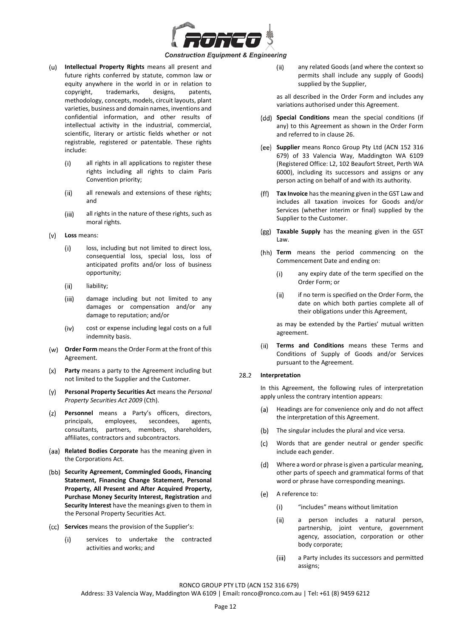

- **Intellectual Property Rights** means all present and  $(u)$ future rights conferred by statute, common law or equity anywhere in the world in or in relation to copyright, trademarks, designs, patents, methodology, concepts, models, circuit layouts, plant varieties, business and domain names, inventions and confidential information, and other results of intellectual activity in the industrial, commercial, scientific, literary or artistic fields whether or not registrable, registered or patentable. These rights include:
	- $(i)$ all rights in all applications to register these rights including all rights to claim Paris Convention priority;
	- all renewals and extensions of these rights;  $(ii)$ and
	- $(iii)$ all rights in the nature of these rights, such as moral rights.
- **Loss** means:  $(v)$ 
	- loss, including but not limited to direct loss,  $(i)$ consequential loss, special loss, loss of anticipated profits and/or loss of business opportunity;
	- (ii) liability;
	- $(iii)$ damage including but not limited to any damages or compensation and/or any damage to reputation; and/or
	- $(iv)$ cost or expense including legal costs on a full indemnity basis.
- **Order Form** means the Order Form at the front of this Agreement.
- **Party** means a party to the Agreement including but  $(x)$ not limited to the Supplier and the Customer.
- $(v)$ **Personal Property Securities Act** means the *Personal Property Securities Act 2009* (Cth).
- **Personnel** means a Party's officers, directors,  $(z)$ principals, employees, secondees, agents, consultants, partners, members, shareholders, affiliates, contractors and subcontractors.
- **Related Bodies Corporate** has the meaning given in the Corporations Act.
- **Security Agreement, Commingled Goods, Financing Statement, Financing Change Statement, Personal Property, All Present and After Acquired Property, Purchase Money Security Interest, Registration** and **Security Interest** have the meanings given to them in the Personal Property Securities Act.
- **Services** means the provision of the Supplier's:
	- services to undertake the contracted  $(i)$ activities and works; and

 $(ii)$ any related Goods (and where the context so permits shall include any supply of Goods) supplied by the Supplier,

as all described in the Order Form and includes any variations authorised under this Agreement.

- (dd) Special Conditions mean the special conditions (if any) to this Agreement as shown in the Order Form and referred to in clause [26.](#page-8-2)
- **Supplier** means Ronco Group Pty Ltd (ACN 152 316 679) of 33 Valencia Way, Maddington WA 6109 (Registered Office: L2, 102 Beaufort Street, Perth WA 6000), including its successors and assigns or any person acting on behalf of and with its authority.
- **Tax Invoice** has the meaning given in the GST Law and includes all taxation invoices for Goods and/or Services (whether interim or final) supplied by the Supplier to the Customer.
- **Taxable Supply** has the meaning given in the GST Law.
- **Term** means the period commencing on the Commencement Date and ending on:
	- $(i)$ any expiry date of the term specified on the Order Form; or
	- $(ii)$ if no term is specified on the Order Form, the date on which both parties complete all of their obligations under this Agreement,

as may be extended by the Parties' mutual written agreement.

**Terms and Conditions** means these Terms and  $(ii)$ Conditions of Supply of Goods and/or Services pursuant to the Agreement.

#### 28.2 **Interpretation**

In this Agreement, the following rules of interpretation apply unless the contrary intention appears:

- Headings are for convenience only and do not affect  $(a)$ the interpretation of this Agreement.
- $(b)$ The singular includes the plural and vice versa.
- Words that are gender neutral or gender specific (c) include each gender.
- Where a word or phrase is given a particular meaning,  $(d)$ other parts of speech and grammatical forms of that word or phrase have corresponding meanings.
- (e) A reference to:
	- "includes" means without limitation  $(i)$
	- $(ii)$ a person includes a natural person, partnership, joint venture, government agency, association, corporation or other body corporate;
	- $(iii)$ a Party includes its successors and permitted assigns;